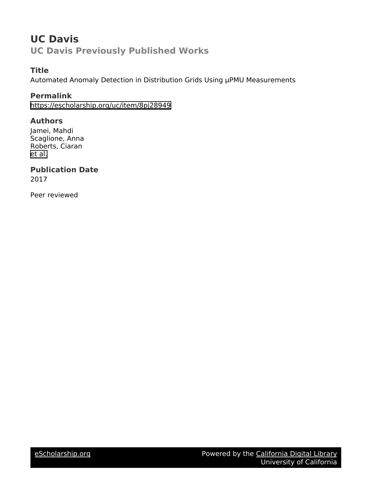## **UC Davis UC Davis Previously Published Works**

### **Title**

Automated Anomaly Detection in Distribution Grids Using µPMU Measurements

### **Permalink**

<https://escholarship.org/uc/item/8pj28949>

### **Authors**

Jamei, Mahdi Scaglione, Anna Roberts, Ciaran [et al.](https://escholarship.org/uc/item/8pj28949#author)

### **Publication Date**

2017

Peer reviewed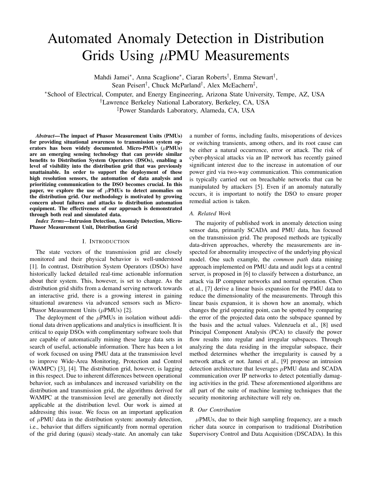# Automated Anomaly Detection in Distribution Grids Using  $\mu$ PMU Measurements

Mahdi Jamei<sup>∗</sup> , Anna Scaglione<sup>∗</sup> , Ciaran Roberts† , Emma Stewart† ,

Sean Peisert<sup>†</sup>, Chuck McParland<sup>†</sup>, Alex McEachern<sup>‡</sup>,

<sup>∗</sup>School of Electrical, Computer, and Energy Engineering, Arizona State University, Tempe, AZ, USA

†Lawrence Berkeley National Laboratory, Berkeley, CA, USA

‡Power Standards Laboratory, Alameda, CA, USA

*Abstract*—The impact of Phasor Measurement Units (PMUs) for providing situational awareness to transmission system operators has been widely documented. Micro-PMUs  $(\mu$ PMUs) are an emerging sensing technology that can provide similar benefits to Distribution System Operators (DSOs), enabling a level of visibility into the distribution grid that was previously unattainable. In order to support the deployment of these high resolution sensors, the automation of data analysis and prioritizing communication to the DSO becomes crucial. In this paper, we explore the use of  $\mu$ PMUs to detect anomalies on the distribution grid. Our methodology is motivated by growing concern about failures and attacks to distribution automation equipment. The effectiveness of our approach is demonstrated through both real and simulated data.

*Index Terms*—Intrusion Detection, Anomaly Detection, Micro-Phasor Measurement Unit, Distribution Grid

#### I. INTRODUCTION

The state vectors of the transmission grid are closely monitored and their physical behavior is well-understood [1]. In contrast, Distribution System Operators (DSOs) have historically lacked detailed real-time actionable information about their system. This, however, is set to change. As the distribution grid shifts from a demand serving network towards an interactive grid, there is a growing interest in gaining situational awareness via advanced sensors such as Micro-Phasor Measurement Units ( $\mu$ PMUs) [2].

The deployment of the  $\mu$ PMUs in isolation without additional data driven applications and analytics is insufficient. It is critical to equip DSOs with complimentary software tools that are capable of automatically mining these large data sets in search of useful, actionable information. There has been a lot of work focused on using PMU data at the transmission level to improve Wide-Area Monitoring, Protection and Control (WAMPC) [3], [4]. The distribution grid, however, is lagging in this respect. Due to inherent differences between operational behavior, such as imbalances and increased variability on the distribution and transmission grid, the algorithms derived for WAMPC at the transmission level are generally not directly applicable at the distribution level. Our work is aimed at addressing this issue. We focus on an important application of  $\mu$ PMU data in the distribution system: anomaly detection, i.e., behavior that differs significantly from normal operation of the grid during (quasi) steady-state. An anomaly can take

a number of forms, including faults, misoperations of devices or switching transients, among others, and its root cause can be either a natural occurrence, error or attack. The risk of cyber-physical attacks via an IP network has recently gained significant interest due to the increase in automation of our power gird via two-way communication. This communication is typically carried out on breachable networks that can be manipulated by attackers [5]. Even if an anomaly naturally occurs, it is important to notify the DSO to ensure proper remedial action is taken.

#### *A. Related Work*

The majority of published work in anomaly detection using sensor data, primarily SCADA and PMU data, has focused on the transmission grid. The proposed methods are typically data-driven approaches, whereby the measurements are inspected for abnormality irrespective of the underlying physical model. One such example, the *common path* data mining approach implemented on PMU data and audit logs at a central server, is proposed in [6] to classify between a disturbance, an attack via IP computer networks and normal operation. Chen et al., [7] derive a linear basis expansion for the PMU data to reduce the dimensionality of the measurements. Through this linear basis expansion, it is shown how an anomaly, which changes the grid operating point, can be spotted by comparing the error of the projected data onto the subspace spanned by the basis and the actual values. Valenzuela et al., [8] used Principal Component Analysis (PCA) to classify the power flow results into regular and irregular subspaces. Through analyzing the data residing in the irregular subspace, their method determines whether the irregularity is caused by a network attack or not. Jamei et al., [9] propose an intrusion detection architecture that leverages  $\mu$ PMU data and SCADA communication over IP networks to detect potentially damaging activities in the grid. These aforementioned algorithms are all part of the suite of machine learning techniques that the security monitoring architecture will rely on.

#### *B. Our Contribution*

 $\mu$ PMUs, due to their high sampling frequency, are a much richer data source in comparison to traditional Distribution Supervisory Control and Data Acquisition (DSCADA). In this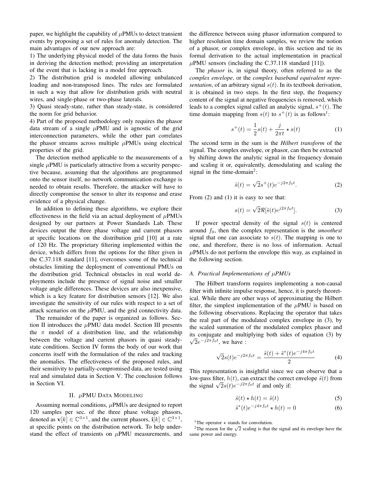paper, we highlight the capability of  $\mu$ PMUs to detect transient events by proposing a set of rules for anomaly detection. The main advantages of our new approach are:

1) The underlying physical model of the data forms the basis in deriving the detection method; providing an interpretation of the event that is lacking in a model free approach.

2) The distribution grid is modeled allowing unbalanced loading and non-transposed lines. The rules are formulated in such a way that allow for distribution grids with neutral wires, and single-phase or two-phase laterals.

3) Quasi steady-state, rather than steady-state, is considered the norm for grid behavior.

4) Part of the proposed methodology only requires the phasor data stream of a single  $\mu$ PMU and is agnostic of the grid interconnection parameters, while the other part correlates the phasor streams across multiple  $\mu$ PMUs using electrical properties of the grid.

The detection method applicable to the measurements of a single  $\mu$ PMU is particularly attractive from a security perspective because, assuming that the algorithms are programmed onto the sensor itself, no network communication exchange is needed to obtain results. Therefore, the attacker will have to directly compromise the sensor to alter its response and erase evidence of a physical change.

In addition to defining these algorithms, we explore their effectiveness in the field via an actual deployment of  $\mu$ PMUs designed by our partners at Power Standards Lab. These devices output the three phase voltage and current phasors at specific locations on the distribution grid [10] at a rate of 120 Hz. The proprietary filtering implemented within the device, which differs from the options for the filter given in the C.37.118 standard [11], overcomes some of the technical obstacles limiting the deployment of conventional PMUs on the distribution grid. Technical obstacles in real world deployments include the presence of signal noise and smaller voltage angle differences. These devices are also inexpensive, which is a key feature for distribution sensors [12]. We also investigate the sensitivity of our rules with respect to a set of attack scenarios on the  $\mu$ PMU, and the grid connectivity data.

The remainder of the paper is organized as follows. Section II introduces the  $\mu$ PMU data model. Section III presents the  $\pi$  model of a distribution line, and the relationship between the voltage and current phasors in quasi steadystate conditions. Section IV forms the body of our work that concerns itself with the formulation of the rules and tracking the anomalies. The effectiveness of the proposed rules, and their sensitivity to partially-compromised data, are tested using real and simulated data in Section V. The conclusion follows in Section VI.

#### II. µPMU DATA MODELING

Assuming normal conditions,  $\mu$ PMUs are designed to report 120 samples per sec. of the three phase voltage phasors, denoted as  $\mathbf{v}[k] \in \mathbb{C}^{3 \times 1}$ , and the current phasors,  $\mathbf{i}[k] \in \mathbb{C}^{3 \times 1}$ , at specific points on the distribution network. To help understand the effect of transients on  $\mu$ PMU measurements, and

the difference between using phasor information compared to higher resolution time domain samples, we review the notion of a phasor, or complex envelope, in this section and tie its formal derivation to the actual implementation in practical  $\mu$ PMU sensors (including the C.37.118 standard [11]).

The *phasor* is, in signal theory, often referred to as the *complex envelope*, or the *complex baseband equivalent representation*, of an arbitrary signal  $s(t)$ . In its textbook derivation, it is obtained in two steps. In the first step, the frequency content of the signal at negative frequencies is removed, which leads to a complex signal called an analytic signal,  $s^+(t)$ . The time domain mapping from  $s(t)$  to  $s^+(t)$  is as follows<sup>1</sup>:

$$
s^{+}(t) = \frac{1}{2}s(t) + \frac{j}{2\pi t} * s(t)
$$
 (1)

The second term in the sum is the *Hilbert transform* of the signal. The complex envelope, or phasor, can then be extracted by shifting down the analytic signal in the frequency domain and scaling it or, equivalently, demodulating and scaling the signal in the time-domain<sup>2</sup>:

$$
\tilde{s}(t) = \sqrt{2}s^+(t)e^{-j2\pi f_0 t}.\tag{2}
$$

From  $(2)$  and  $(1)$  it is easy to see that:

$$
s(t) = \sqrt{2}\Re[\tilde{s}(t)e^{j2\pi f_0 t}].
$$
\n(3)

If power spectral density of the signal  $s(t)$  is centered around f0, then the complex representation is the *smoothest* signal that one can associate to  $s(t)$ . The mapping is one to one, and therefore, there is no loss of information. Actual  $\mu$ PMUs do not perform the envelope this way, as explained in the following section.

#### *A. Practical Implementations of* µ*PMUs*

The Hilbert transform requires implementing a non-causal filter with infinite impulse response, hence, it is purely theoretical. While there are other ways of approximating the Hilbert filter, the simplest implementation of the  $\mu$ PMU is based on the following observations. Replacing the operator that takes the real part of the modulated complex envelope in (3), by the scaled summation of the modulated complex phasor and its conjugate and multiplying both sides of equation (3) by  $\overline{2}e^{-j2\pi f_0t}$ , we have :

$$
\sqrt{2}s(t)e^{-j2\pi f_0 t} = \frac{\tilde{s}(t) + \tilde{s}^*(t)e^{-j4\pi f_0 t}}{2}
$$
 (4)

This representation is insightful since we can observe that a low-pass filter,  $h(t)$ , can extract the correct envelope  $\tilde{s}(t)$  from the signal  $\sqrt{2}s(t)e^{-j2\pi f_0t}$  if and only if:

$$
\tilde{s}(t) \star h(t) = \tilde{s}(t) \tag{5}
$$

$$
\tilde{s}^*(t)e^{-j4\pi f_0 t} \star h(t) = 0 \tag{6}
$$

<sup>&</sup>lt;sup>1</sup>The operator  $\star$  stands for convolution.

The operator  $\star$  stands for convolution.<br><sup>2</sup>The reason for the  $\sqrt{2}$  scaling is that the signal and its envelope have the same power and energy.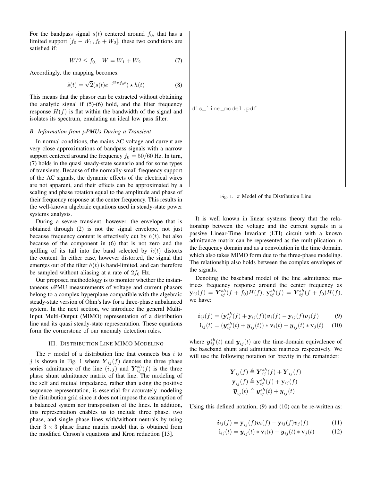For the bandpass signal  $s(t)$  centered around  $f_0$ , that has a limited support  $[f_0 - W_1, f_0 + W_2]$ , these two conditions are satisfied if:

$$
W/2 \le f_0, \quad W = W_1 + W_2. \tag{7}
$$

Accordingly, the mapping becomes:

$$
\tilde{s}(t) = \sqrt{2}(s(t)e^{-j2\pi f_0 t}) \star h(t)
$$
\n(8)

This means that the phasor can be extracted without obtaining the analytic signal if (5)-(6) hold, and the filter frequency response  $H(f)$  is flat within the bandwidth of the signal and isolates its spectrum, emulating an ideal low pass filter.

#### *B. Information from* µ*PMUs During a Transient*

In normal conditions, the mains AC voltage and current are very close approximations of bandpass signals with a narrow support centered around the frequency  $f_0 = 50/60$  Hz. In turn, (7) holds in the quasi steady-state scenario and for some types of transients. Because of the normally-small frequency support of the AC signals, the dynamic effects of the electrical wires are not apparent, and their effects can be approximated by a scaling and phase rotation equal to the amplitude and phase of their frequency response at the center frequency. This results in the well-known algebraic equations used in steady-state power systems analysis.

During a severe transient, however, the envelope that is obtained through (2) is not the signal envelope, not just because frequency content is effectively cut by  $h(t)$ , but also because of the component in (6) that is not zero and the spilling of its tail into the band selected by  $h(t)$  distorts the content. In either case, however distorted, the signal that emerges out of the filter  $h(t)$  is band-limited, and can therefore be sampled without aliasing at a rate of  $2f_0$  Hz.

Our proposed methodology is to monitor whether the instantaneous  $\mu$ PMU measurements of voltage and current phasors belong to a complex hyperplane compatible with the algebraic steady-state version of Ohm's law for a three-phase unbalanced system. In the next section, we introduce the general Multi-Input Multi-Output (MIMO) representation of a distribution line and its quasi steady-state representation. These equations form the cornerstone of our anomaly detection rules.

#### III. DISTRIBUTION LINE MIMO MODELING

The  $\pi$  model of a distribution line that connects bus i to j is shown in Fig. 1 where  $Y_{ij}(f)$  denotes the three phase series admittance of the line  $(i, j)$  and  $\mathbf{Y}_{ij}^{sh}(f)$  is the three phase shunt admittance matrix of that line. The modeling of the self and mutual impedance, rather than using the positive sequence representation, is essential for accurately modeling the distribution grid since it does not impose the assumption of a balanced system nor transposition of the lines. In addition, this representation enables us to include three phase, two phase, and single phase lines with/without neutrals by using their  $3 \times 3$  phase frame matrix model that is obtained from the modified Carson's equations and Kron reduction [13].



Fig. 1.  $\pi$  Model of the Distribution Line

It is well known in linear systems theory that the relationship between the voltage and the current signals in a passive Linear-Time Invariant (LTI) circuit with a known admittance matrix can be represented as the multiplication in the frequency domain and as a convolution in the time domain, which also takes MIMO form due to the three-phase modeling. The relationship also holds between the complex envelopes of the signals.

Denoting the baseband model of the line admittance matrices frequency response around the center frequency as  ${\bf y}_{ij}(f)\,=\,{\bm Y}^{sh}_{ij}(f+\bar f_0)H(f),\ {\bf y}^{sh}_{ij}(f)\,=\,{\bm Y}^{sh}_{ij}(f+\bar f_0)H(f),$ we have:

$$
\boldsymbol{i}_{ij}(f) = (\mathbf{y}_{ij}^{sh}(f) + \mathbf{y}_{ij}(f))\boldsymbol{v}_i(f) - \mathbf{y}_{ij}(f)\boldsymbol{v}_j(f) \qquad (9)
$$

$$
\mathbf{i}_{ij}(t) = (\mathbf{y}_{ij}^{sh}(t) + \mathbf{y}_{ij}(t)) * \mathbf{v}_i(t) - \mathbf{y}_{ij}(t) * \mathbf{v}_j(t) \quad (10)
$$

where  $y_{ij}^{sh}(t)$  and  $y_{ij}(t)$  are the time-domain equivalence of the baseband shunt and admittance matrices respectively. We will use the following notation for brevity in the remainder:

$$
\overline{Y}_{ij}(f) \triangleq Y_{ij}^{sh}(f) + Y_{ij}(f)
$$
\n
$$
\overline{y}_{ij}(f) \triangleq y_{ij}^{sh}(f) + y_{ij}(f)
$$
\n
$$
\overline{y}_{ij}(t) \triangleq y_{ij}^{sh}(t) + y_{ij}(t)
$$

Using this defined notation, (9) and (10) can be re-written as:

$$
\boldsymbol{i}_{ij}(f) = \overline{\mathbf{y}}_{ij}(f)\boldsymbol{v}_i(f) - \mathbf{y}_{ij}(f)\boldsymbol{v}_j(f) \tag{11}
$$

$$
\mathbf{i}_{ij}(t) = \overline{\mathbf{y}}_{ij}(t) * \mathbf{v}_i(t) - \mathbf{y}_{ij}(t) * \mathbf{v}_j(t)
$$
(12)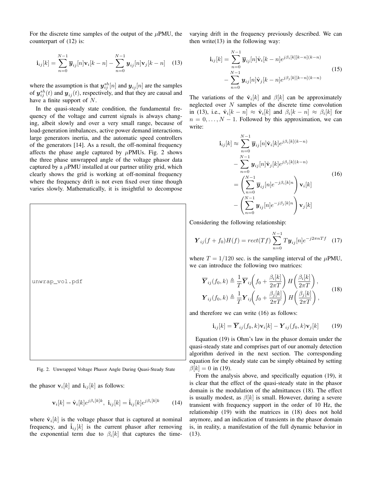For the discrete time samples of the output of the  $\mu$ PMU, the counterpart of (12) is:

$$
\mathbf{i}_{ij}[k] = \sum_{n=0}^{N-1} \overline{\boldsymbol{y}}_{ij}[n] \mathbf{v}_i[k-n] - \sum_{n=0}^{N-1} \boldsymbol{y}_{ij}[n] \mathbf{v}_j[k-n] \quad (13)
$$

where the assumption is that  $y_{ij}^{sh}[n]$  and  $y_{ij}[n]$  are the samples of  $y_{ij}^{sh}(t)$  and  $y_{ij}(t)$ , respectively, and that they are causal and have a finite support of  $N$ .

In the quasi-steady state condition, the fundamental frequency of the voltage and current signals is always changing, albeit slowly and over a very small range, because of load-generation imbalances, active power demand interactions, large generators inertia, and the automatic speed controllers of the generators [14]. As a result, the off-nominal frequency affects the phase angle captured by  $\mu$ PMUs. Fig. 2 shows the three phase unwrapped angle of the voltage phasor data captured by a  $\mu$ PMU installed at our partner utility grid, which clearly shows the grid is working at off-nominal frequency where the frequency drift is not even fixed over time though varies slowly. Mathematically, it is insightful to decompose



Fig. 2. Unwrapped Voltage Phasor Angle During Quasi-Steady State

the phasor  $\mathbf{v}_i[k]$  and  $\mathbf{i}_{ij}[k]$  as follows:

$$
\mathbf{v}_i[k] = \hat{\mathbf{v}}_i[k]e^{j\beta_i[k]k}, \ \mathbf{i}_{ij}[k] = \hat{\mathbf{i}}_{ij}[k]e^{j\beta_i[k]k} \tag{14}
$$

where  $\hat{\mathbf{v}}_i[k]$  is the voltage phasor that is captured at nominal frequency, and  $\hat{i}_{ij}[k]$  is the current phasor after removing the exponential term due to  $\beta_i[k]$  that captures the timevarying drift in the frequency previously described. We can then write $(13)$  in the following way:

$$
\mathbf{i}_{ij}[k] = \sum_{n=0}^{N-1} \overline{\mathbf{y}}_{ij}[n] \hat{\mathbf{v}}_i[k-n] e^{j\beta_i[k][k-n](k-n)} \n- \sum_{n=0}^{N-1} \mathbf{y}_{ij}[n] \hat{\mathbf{v}}_j[k-n] e^{j\beta_j[k][k-n](k-n)}
$$
\n(15)

The variations of the  $\hat{\mathbf{v}}_i[k]$  and  $\beta[k]$  can be approximately neglected over  $N$  samples of the discrete time convolution in (13), i.e.,  $\hat{\mathbf{v}}_i[k-n] \approx \hat{\mathbf{v}}_i[k]$  and  $\beta_i[k-n] \approx \beta_i[k]$  for  $n = 0, \ldots, N - 1$ . Followed by this approximation, we can write:

$$
\mathbf{i}_{ij}[k] \approx \sum_{n=0}^{N-1} \overline{\mathbf{y}}_{ij}[n] \hat{\mathbf{v}}_i[k] e^{j\beta_i[k](k-n)} \n- \sum_{n=0}^{N-1} \mathbf{y}_{ij}[n] \hat{\mathbf{v}}_j[k] e^{j\beta_j[k](k-n)} \n= \left( \sum_{n=0}^{N-1} \overline{\mathbf{y}}_{ij}[n] e^{-j\beta_i[k]n} \right) \mathbf{v}_i[k] \n- \left( \sum_{n=0}^{N-1} \mathbf{y}_{ij}[n] e^{-j\beta_j[k]n} \right) \mathbf{v}_j[k]
$$
\n(16)

Considering the following relationship:

$$
\boldsymbol{Y}_{ij}(f+f_0)H(f) = rect(Tf) \sum_{n=0}^{N-1} T \boldsymbol{y}_{ij}[n]e^{-j2\pi nTf} \quad (17)
$$

where  $T = 1/120$  sec. is the sampling interval of the  $\mu$ PMU, we can introduce the following two matrices:

$$
\overline{\mathbf{Y}}_{ij}(f_0, k) \triangleq \frac{1}{T} \overline{\mathbf{Y}}_{ij} \left( f_0 + \frac{\beta_i[k]}{2\pi T} \right) H \left( \frac{\beta_i[k]}{2\pi T} \right),
$$
\n
$$
\mathbf{Y}_{ij}(f_0, k) \triangleq \frac{1}{T} \mathbf{Y}_{ij} \left( f_0 + \frac{\beta_j[k]}{2\pi T} \right) H \left( \frac{\beta_j[k]}{2\pi T} \right),
$$
\n(18)

and therefore we can write (16) as follows:

$$
\mathbf{i}_{ij}[k] = \overline{\boldsymbol{Y}}_{ij}(f_0, k)\mathbf{v}_i[k] - \boldsymbol{Y}_{ij}(f_0, k)\mathbf{v}_j[k] \qquad (19)
$$

Equation (19) is Ohm's law in the phasor domain under the quasi-steady state and comprises part of our anomaly detection algorithm derived in the next section. The corresponding equation for the steady state can be simply obtained by setting  $\beta[k] = 0$  in (19).

From the analysis above, and specifically equation (19), it is clear that the effect of the quasi-steady state in the phasor domain is the modulation of the admittances (18). The effect is usually modest, as  $\beta[k]$  is small. However, during a severe transient with frequency support in the order of 10 Hz, the relationship (19) with the matrices in (18) does not hold anymore, and an indication of transients in the phasor domain is, in reality, a manifestation of the full dynamic behavior in (13).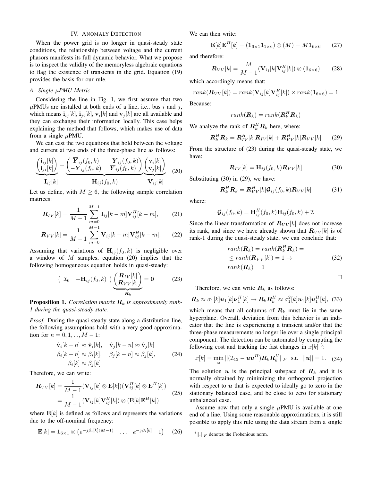#### IV. ANOMALY DETECTION

When the power grid is no longer in quasi-steady state conditions, the relationship between voltage and the current phasors manifests its full dynamic behavior. What we propose is to inspect the validity of the memoryless algebraic equations to flag the existence of transients in the grid. Equation (19) provides the basis for our rule.

#### *A. Single* µ*PMU Metric*

Considering the line in Fig. 1, we first assume that two  $\mu$ PMUs are installed at both ends of a line, i.e., bus i and j, which means  $\mathbf{i}_{ij}[k], \mathbf{i}_{ji}[k], \mathbf{v}_i[k]$  and  $\mathbf{v}_j[k]$  are all available and they can exchange their information locally. This case helps explaining the method that follows, which makes use of data from a single  $\mu$ PMU.

We can cast the two equations that hold between the voltage and current at two ends of the three-phase line as follows:

$$
\underbrace{\begin{pmatrix} \mathbf{i}_{ij}[k] \\ \mathbf{i}_{ji}[k] \end{pmatrix}}_{\mathbf{I}_{ij}[k]} = \underbrace{\begin{pmatrix} \overline{\mathbf{Y}}_{ij}(f_0, k) & -\mathbf{Y}_{ij}(f_0, k) \\ -\mathbf{Y}_{ij}(f_0, k) & \overline{\mathbf{Y}}_{ij}(f_0, k) \end{pmatrix}}_{\mathbf{H}_{ij}(f_0, k)} \underbrace{\begin{pmatrix} \mathbf{v}_i[k] \\ \mathbf{v}_j[k] \end{pmatrix}}_{\mathbf{V}_{ij}[k]} \quad (20)
$$

Let us define, with  $M \geq 6$ , the following sample correlation matrices:

$$
\boldsymbol{R}_{IV}[k] = \frac{1}{M-1} \sum_{m=0}^{M-1} \mathbf{I}_{ij}[k-m] \mathbf{V}_{ij}^{H}[k-m], \qquad (21)
$$

$$
\boldsymbol{R}_{VV}[k] = \frac{1}{M-1} \sum_{m=0}^{M-1} \mathbf{V}_{ij}[k-m] \mathbf{V}_{ij}^H[k-m]. \tag{22}
$$

Assuming that variations of  $H_{ij}(f_0, k)$  is negligible over a window of  $M$  samples, equation (20) implies that the following homogeneous equation holds in quasi-steady:

$$
\begin{pmatrix} \mathcal{I}_6 & -\mathbf{H}_{ij}(f_0, k) \end{pmatrix} \underbrace{\begin{pmatrix} \mathbf{R}_{IV}[k] \\ \mathbf{R}_{VV}[k] \end{pmatrix}}_{\mathbf{R}_k} = \mathbf{0} \tag{23}
$$

**Proposition 1.** Correlation matrix  $\mathbf{R}_k$  is approximately rank-*1 during the quasi-steady state.*

*Proof.* During the quasi-steady state along a distribution line, the following assumptions hold with a very good approximation for  $n = 0, 1, ..., M - 1$ :

$$
\hat{\mathbf{v}}_i[k-n] \approx \hat{\mathbf{v}}_i[k], \quad \hat{\mathbf{v}}_j[k-n] \approx \hat{\mathbf{v}}_j[k]
$$
\n
$$
\beta_i[k-n] \approx \beta_i[k], \quad \beta_j[k-n] \approx \beta_j[k], \quad (24)
$$
\n
$$
\beta_i[k] \approx \beta_j[k]
$$

Therefore, we can write:

$$
\mathbf{R}_{VV}[k] = \frac{1}{M-1} (\mathbf{V}_{ij}[k] \otimes \mathbf{E}[k])(\mathbf{V}_{ij}^H[k] \otimes \mathbf{E}^H[k])
$$
  
= 
$$
\frac{1}{M-1} (\mathbf{V}_{ij}[k]\mathbf{V}_{ij}^H[k]) \otimes (\mathbf{E}[k]\mathbf{E}^H[k])
$$
 (25)

where  $\mathbf{E}[k]$  is defined as follows and represents the variations due to the off-nominal frequency:

$$
\mathbf{E}[k] = \mathbf{1}_{6 \times 1} \otimes \left( e^{-j\beta_i[k](M-1)} \quad \dots \quad e^{-j\beta_i[k]} \quad 1 \right) \tag{26}
$$

We can then write:

$$
\mathbf{E}[k]\mathbf{E}^H[k] = (\mathbf{1}_{6\times 1}\mathbf{1}_{1\times 6}) \otimes (M) = M\mathbf{1}_{6\times 6} \tag{27}
$$

and therefore:

$$
\boldsymbol{R}_{VV}[k] = \frac{M}{M-1}(\mathbf{V}_{ij}[k]\mathbf{V}_{ij}^H[k]) \otimes (\mathbf{1}_{6\times6})
$$
 (28)

which accordingly means that:

$$
rank(\mathbf{R}_{VV}[k]) = rank(\mathbf{V}_{ij}[k]\mathbf{V}_{ij}^H[k]) \times rank(\mathbf{1}_{6\times6}) = 1
$$

Because:

$$
rank(\boldsymbol{R}_k) = rank(\boldsymbol{R}_k^H \boldsymbol{R}_k)
$$

We analyze the rank of  $\mathbf{R}_k^H \mathbf{R}_k$  here, where:

$$
\boldsymbol{R}_k^H \boldsymbol{R}_k = \boldsymbol{R}_{IV}^H[k] \boldsymbol{R}_{IV}[k] + \boldsymbol{R}_{VV}^H[k] \boldsymbol{R}_{VV}[k] \qquad (29)
$$

From the structure of (23) during the quasi-steady state, we have:

$$
\mathbf{R}_{IV}[k] = \mathbf{H}_{ij}(f_0, k)\mathbf{R}_{VV}[k] \tag{30}
$$

Substituting (30) in (29), we have:

$$
\boldsymbol{R}_k^H \boldsymbol{R}_k = \boldsymbol{R}_{VV}^H[k] \boldsymbol{\mathcal{G}}_{ij}(f_0,k) \boldsymbol{R}_{VV}[k] \tag{31}
$$

where:

$$
\mathcal{G}_{ij}(f_0,k) = \mathbf{H}_{ij}^H(f_0,k)\mathbf{H}_{ij}(f_0,k) + \mathcal{I}
$$

Since the linear transformation of  $R_{VV}[k]$  does not increase its rank, and since we have already shown that  $R_{VV}[k]$  is of rank-1 during the quasi-steady state, we can conclude that:

$$
rank(\mathbf{R}_k) = rank(\mathbf{R}_k^H \mathbf{R}_k) =
$$
  
\n
$$
\leq rank(\mathbf{R}_{VV}[k]) = 1 \rightarrow
$$
  
\n
$$
rank(\mathbf{R}_k) = 1
$$
\n(32)

 $\Box$ 

Therefore, we can write  $R_k$  as follows:

$$
\boldsymbol{R}_k \approx \sigma_1[k] \boldsymbol{u}_1[k] \boldsymbol{\nu}_1^H[k] \to \boldsymbol{R}_k \boldsymbol{R}_k^H \approx \sigma_1^2[k] \boldsymbol{u}_1[k] \boldsymbol{u}_1^H[k], \quad (33)
$$

which means that all columns of  $R_k$  must lie in the same hyperplane. Overall, deviation from this behavior is an indicator that the line is experiencing a transient and/or that the three-phase measurements no longer lie over a single principal component. The detection can be automated by computing the following cost and tracking the fast changes in  $x[k]$ <sup>3</sup>:

$$
x[k] = \min_{\boldsymbol{u}} ||(\mathcal{I}_{12} - \boldsymbol{u}\boldsymbol{u}^H) \boldsymbol{R}_k \boldsymbol{R}_k^H||_F \quad \text{s.t.} \quad ||\boldsymbol{u}|| = 1. \quad (34)
$$

The solution  $u$  is the principal subspace of  $R_k$  and it is normally obtained by minimizing the orthogonal projection with respect to  $u$  that is expected to ideally go to zero in the stationary balanced case, and be close to zero for stationary unbalanced case.

Assume now that only a single  $\mu$ PMU is available at one end of a line. Using some reasonable approximations, it is still possible to apply this rule using the data stream from a single

 $3||.||_F$  denotes the Frobenious norm.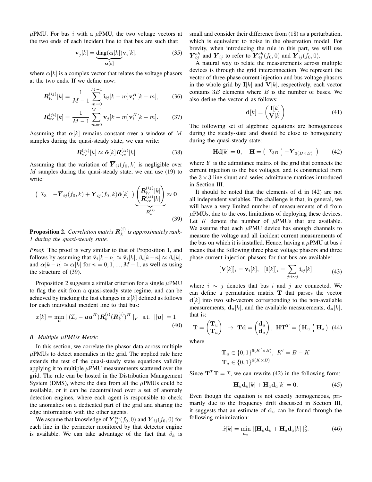$\mu$ PMU. For bus *i* with a  $\mu$ PMU, the two voltage vectors at the two ends of each incident line to that bus are such that:

$$
\mathbf{v}_j[k] = \underbrace{\text{diag}(\alpha[k])}_{\tilde{\alpha}[k]} \mathbf{v}_i[k],\tag{35}
$$

where  $\alpha[k]$  is a complex vector that relates the voltage phasors at the two ends. If we define now:

$$
\mathbf{R}_{iv}^{(ij)}[k] = \frac{1}{M-1} \sum_{m=0}^{M-1} \mathbf{i}_{ij}[k-m] \mathbf{v}_i^H[k-m],\qquad(36)
$$

$$
\mathbf{R}_{\text{vv}}^{(ji)}[k] = \frac{1}{M-1} \sum_{m=0}^{M-1} \mathbf{v}_j[k-m] \mathbf{v}_i^H[k-m]. \tag{37}
$$

Assuming that  $\alpha[k]$  remains constant over a window of M samples during the quasi-steady state, we can write:

$$
\mathbf{R}_{\rm vv}^{(ji)}[k] \approx \tilde{\boldsymbol{\alpha}}[k] \mathbf{R}_{\rm vv}^{(ii)}[k] \tag{38}
$$

Assuming that the variation of  $\overline{Y}_{ij}(f_0, k)$  is negligible over  $M$  samples during the quasi-steady state, we can use (19) to write:

$$
\begin{pmatrix} \mathcal{I}_3 & -\overline{\mathbf{Y}}_{ij}(f_0, k) + \mathbf{Y}_{ij}(f_0, k)\tilde{\boldsymbol{\alpha}}[k] \end{pmatrix} \underbrace{\begin{pmatrix} \mathbf{R}_{iv}^{(ij)}[k] \\ \mathbf{R}_{vv}^{(ii)}[k] \end{pmatrix}}_{\mathbf{R}_k^{(i)}} \approx \mathbf{0} \tag{39}
$$

**Proposition 2.** Correlation matrix  $\mathbf{R}_k^{(i)}$ k *is approximately rank-1 during the quasi-steady state.*

*Proof.* The proof is very similar to that of Proposition 1, and follows by assuming that  $\hat{\mathbf{v}}_i[k-n] \approx \hat{\mathbf{v}}_i[k], \beta_i[k-n] \approx \beta_i[k],$ and  $\alpha[k - n] \approx \alpha[k]$  for  $n = 0, 1, ..., M - 1$ , as well as using the structure of (39).  $\Box$ 

Proposition 2 suggests a similar criterion for a single  $\mu$ PMU to flag the exit from a quasi-steady state regime, and can be achieved by tracking the fast changes in  $x[k]$  defined as follows for each individual incident line to that bus:

$$
x[k] = \min_{\mathbf{u}} ||(\mathcal{I}_6 - \mathbf{u}\mathbf{u}^H) \mathbf{R}_k^{(i)} (\mathbf{R}_k^{(i)})^H||_F \text{ s.t. } ||\mathbf{u}|| = 1
$$
\n(40)

#### *B. Multiple* µ*PMUs Metric*

In this section, we correlate the phasor data across multiple  $\mu$ PMUs to detect anomalies in the grid. The applied rule here extends the test of the quasi-steady state equations validity applying it to multiple  $\mu$ PMU measurements scattered over the grid. The rule can be hosted in the Distribution Management System (DMS), where the data from all the  $\mu$ PMUs could be available, or it can be decentralized over a set of anomaly detection engines, where each agent is responsible to check the anomalies on a dedicated part of the grid and sharing the edge information with the other agents.

We assume that knowledge of  $\overline{Y}_{ij}^{sh}(f_0,0)$  and  $\overline{Y}_{ij}(f_0,0)$  for each line in the perimeter monitored by that detector engine is available. We can take advantage of the fact that  $\beta_k$  is small and consider their difference from (18) as a perturbation, which is equivalent to noise in the observation model. For brevity, when introducing the rule in this part, we will use  $\boldsymbol{Y}_{ij}^{sh}$  and  $\boldsymbol{Y}_{ij}$  to refer to  $\boldsymbol{Y}_{ij}^{sh}(f_0, 0)$  and  $\boldsymbol{Y}_{ij}(f_0, 0)$ .

A natural way to relate the measurements across multiple devices is through the grid interconnection. We represent the vector of three-phase current injection and bus voltage phasors in the whole grid by  $I[k]$  and  $V[k]$ , respectively, each vector contains  $3B$  elements where  $B$  is the number of buses. We also define the vector d as follows:

$$
\mathbf{d}[k] = \begin{pmatrix} \mathbf{I}[k] \\ \mathbf{V}[k] \end{pmatrix} \tag{41}
$$

The following set of algebraic equations are homogeneous during the steady-state and should be close to homogeneity during the quasi-steady state:

$$
\mathbf{Hd}[k] = \mathbf{0}, \quad \mathbf{H} = \begin{pmatrix} \mathcal{I}_{3B} & -\mathbf{Y}_{3(B \times B)} \end{pmatrix} \tag{42}
$$

where  $Y$  is the admittance matrix of the grid that connects the current injection to the bus voltages, and is constructed from the  $3 \times 3$  line shunt and series admittance matrices introduced in Section III.

It should be noted that the elements of d in (42) are not all independent variables. The challenge is that, in general, we will have a very limited number of measurements of d from  $\mu$ PMUs, due to the cost limitations of deploying these devices. Let K denote the number of  $\mu$ PMUs that are available. We assume that each  $\mu$ PMU device has enough channels to measure the voltage and all incident current measurements of the bus on which it is installed. Hence, having a  $\mu$ PMU at bus i means that the following three phase voltage phasors and three phase current injection phasors for that bus are available:

$$
[\mathbf{V}[k]]_i = \mathbf{v}_i[k], \quad [\mathbf{I}[k]]_i = \sum_{j:i \sim j} \mathbf{i}_{ij}[k] \tag{43}
$$

where  $i \sim j$  denotes that bus i and j are connected. We can define a permutation matrix T that parses the vector  $d[k]$  into two sub-vectors corresponding to the non-available measurements,  $\mathbf{d}_u[k]$ , and the available measurements,  $\mathbf{d}_a[k]$ , that is:

$$
\mathbf{T} = \begin{pmatrix} \mathbf{T}_u \\ \mathbf{T}_a \end{pmatrix} \rightarrow \mathbf{Td} = \begin{pmatrix} \mathbf{d}_u \\ \mathbf{d}_a \end{pmatrix}, \ \mathbf{H}\mathbf{T}^T = \begin{pmatrix} \mathbf{H}_u & \mathbf{H}_a \end{pmatrix} \tag{44}
$$

where

$$
\mathbf{T}_u \in \{0, 1\}^{6(K' \times B)}, \ K' = B - K
$$
  

$$
\mathbf{T}_a \in \{0, 1\}^{6(K \times B)}
$$

Since  $T^{T}T = I$ , we can rewrite (42) in the following form:

$$
\mathbf{H}_u \mathbf{d}_u[k] + \mathbf{H}_a \mathbf{d}_a[k] = \mathbf{0}.
$$
 (45)

Even though the equation is not exactly homogeneous, primarily due to the frequency drift discussed in Section III, it suggests that an estimate of  $d_u$  can be found through the following minimization:

$$
\hat{x}[k] = \min_{\mathbf{d}_u} ||\mathbf{H}_u \mathbf{d}_u + \mathbf{H}_a \mathbf{d}_a[k]||_2^2.
$$
 (46)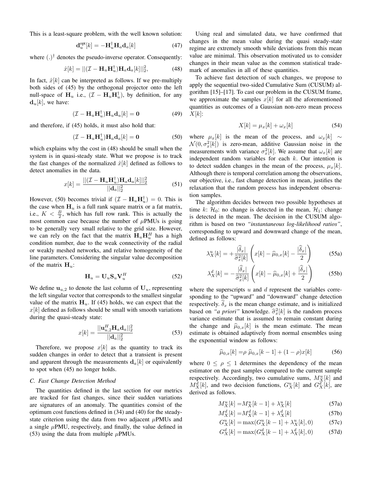This is a least-square problem, with the well known solution:

$$
\mathbf{d}_u^{\text{opt}}[k] = -\mathbf{H}_u^{\dagger} \mathbf{H}_a \mathbf{d}_a[k] \tag{47}
$$

where  $(.)^{\dagger}$  denotes the pseudo-inverse operator. Consequently:

$$
\hat{x}[k] = ||(\mathcal{I} - \mathbf{H}_u \mathbf{H}_u^\dagger) \mathbf{H}_a \mathbf{d}_a[k]||_2^2, \tag{48}
$$

In fact,  $\hat{x}[k]$  can be interpreted as follows. If we pre-multiply both sides of (45) by the orthogonal projector onto the left null-space of  $H_u$  i.e.,  $(\mathcal{I} - H_u H_u^{\dagger})$ , by definition, for any  $\mathbf{d}_u[k]$ , we have:

$$
(\mathcal{I} - \mathbf{H}_u \mathbf{H}_u^\dagger) \mathbf{H}_u \mathbf{d}_u[k] = \mathbf{0}
$$
 (49)

and therefore, if (45) holds, it must also hold that:

$$
(\mathcal{I} - \mathbf{H}_u \mathbf{H}_u^\dagger) \mathbf{H}_a \mathbf{d}_a[k] = \mathbf{0} \tag{50}
$$

which explains why the cost in (48) should be small when the system is in quasi-steady state. What we propose is to track the fast changes of the normalized  $\hat{x}[k]$  defined as follows to detect anomalies in the data.

$$
x[k] = \frac{||(\mathcal{I} - \mathbf{H}_u \mathbf{H}_u^\dagger)\mathbf{H}_a \mathbf{d}_a[k]||_2^2}{||\mathbf{d}_a||_2^2}
$$
(51)

However, (50) becomes trivial if  $(\mathcal{I} - \mathbf{H}_u \mathbf{H}_u^{\dagger}) = 0$ . This is the case when  $H_u$  is a full rank square matrix or a fat matrix, i.e.,  $K < \frac{B}{2}$ , which has full row rank. This is actually the most common case because the number of  $\mu$ PMUs is going to be generally very small relative to the grid size. However, we can rely on the fact that the matrix  $H_u H_u^H$  has a high condition number, due to the weak connectivity of the radial or weakly meshed networks, and relative homogeneity of the line parameters. Considering the singular value decomposition of the matrix  $H_u$ :

$$
\mathbf{H}_u = \mathbf{U}_u \mathbf{S}_u \mathbf{V}_u^H \tag{52}
$$

We define  $u_{u,2}$  to denote the last column of  $U_u$ , representing the left singular vector that corresponds to the smallest singular value of the matrix  $H_u$ . If (45) holds, we can expect that the  $x[k]$  defined as follows should be small with smooth variations during the quasi-steady state:

$$
x[k] = \frac{||\mathbf{u}_{u,2}^{H} \mathbf{H}_a \mathbf{d}_a||_2^2}{||\mathbf{d}_a||_2^2}
$$
(53)

Therefore, we propose  $x[k]$  as the quantity to track its sudden changes in order to detect that a transient is present and apparent through the measurements  $d_a[k]$  or equivalently to spot when (45) no longer holds.

#### *C. Fast Change Detection Method*

The quantities defined in the last section for our metrics are tracked for fast changes, since their sudden variations are signatures of an anomaly. The quantities consist of the optimum cost functions defined in (34) and (40) for the steadystate criterion using the data from two adjacent  $\mu$ PMUs and a single  $\mu$ PMU, respectively, and finally, the value defined in (53) using the data from multiple  $\mu$ PMUs.

Using real and simulated data, we have confirmed that changes in the mean value during the quasi steady-state regime are extremely smooth while deviations from this mean value are minimal. This observation motivated us to consider changes in their mean value as the common statistical trademark of anomalies in all of these quantities.

To achieve fast detection of such changes, we propose to apply the sequential two-sided Cumulative Sum (CUSUM) algorithm [15]–[17]. To cast our problem in the CUSUM frame, we approximate the samples  $x[k]$  for all the aforementioned quantities as outcomes of a Gaussian non-zero mean process  $X[k]$ :

$$
X[k] = \mu_x[k] + \omega_x[k] \tag{54}
$$

where  $\mu_x[k]$  is the mean of the process, and  $\omega_x[k] \sim$  $\mathcal{N}(0, \sigma_x^2[k])$  is zero-mean, additive Gaussian noise in the measurements with variance  $\sigma_x^2[k]$ . We assume that  $\omega_x[k]$  are independent random variables for each  $k$ . Our intention is to detect sudden changes in the mean of the process,  $\mu_x[k]$ . Although there is temporal correlation among the observations, our objective, i.e., fast change detection in mean, justifies the relaxation that the random process has independent observation samples.

The algorithm decides between two possible hypotheses at time k:  $\mathcal{H}_0$ : no change is detected in the mean,  $\mathcal{H}_1$ : change is detected in the mean. The decision in the CUSUM algorithm is based on two *"instantaneous log-likelihood ratios"*, corresponding to upward and downward change of the mean, defined as follows:

$$
\lambda_X^u[k] = + \frac{|\widehat{\delta}_x|}{\widehat{\sigma}_x^2[k]} \left( x[k] - \widehat{\mu}_{0,x}[k] - \frac{|\widehat{\delta}_x|}{2} \right) \tag{55a}
$$

$$
\lambda_X^d[k] = -\frac{|\widehat{\delta}_x|}{\widehat{\sigma}_x^2[k]} \left( x[k] - \widehat{\mu}_{0,x}[k] + \frac{|\widehat{\delta}_x|}{2} \right) \tag{55b}
$$

where the superscripts  $u$  and  $d$  represent the variables corresponding to the "upward" and "downward" change detection respectively.  $\delta_x$  is the mean change estimate, and is initialized based on *"a priori"* knowledge.  $\hat{\sigma}_x^2[k]$  is the random process variance estimate that is assumed to remain constant during the change and  $\hat{\mu}_{0,x}[k]$  is the mean estimate. The mean estimate is obtained adaptively from normal ensembles using the exponential window as follows:

$$
\widehat{\mu}_{0,x}[k] = \rho \ \widehat{\mu}_{0,x}[k-1] + (1-\rho)x[k] \tag{56}
$$

where  $0 \le \rho \le 1$  determines the dependency of the mean estimator on the past samples compared to the current sample respectively. Accordingly, two cumulative sums,  $M_X^u[k]$  and  $M_X^d[k]$ , and two decision functions,  $G_X^u[k]$  and  $G_X^d[k]$ , are derived as follows.

$$
M_X^u[k] = M_X^u[k-1] + \lambda_X^u[k] \tag{57a}
$$

$$
M_X^d[k] = M_X^d[k-1] + \lambda_X^d[k] \tag{57b}
$$

$$
G_X^u[k] = \max(G_X^u[k-1] + \lambda_X^u[k], 0)
$$
 (57c)

$$
G_X^d[k] = \max(G_X^d[k-1] + \lambda_X^d[k], 0)
$$
 (57d)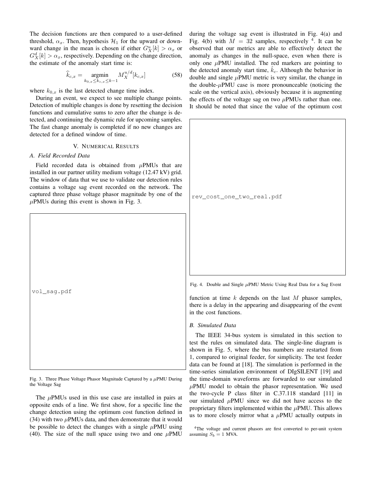The decision functions are then compared to a user-defined threshold,  $\alpha_x$ . Then, hypothesis  $\mathcal{H}_1$  for the upward or downward change in the mean is chosen if either  $G_X^u[k] > \alpha_x$  or  $G_X^d[k] > \alpha_x$ , respectively. Depending on the change direction, the estimate of the anomaly start time is:

$$
\widehat{k}_{c,x} = \underset{k_{0,x} \le k_{c,x} \le k-1}{\text{argmin}} M_X^{u/d}[k_{c,x}] \tag{58}
$$

where  $k_{0,x}$  is the last detected change time index.

During an event, we expect to see multiple change points. Detection of multiple changes is done by resetting the decision functions and cumulative sums to zero after the change is detected, and continuing the dynamic rule for upcoming samples. The fast change anomaly is completed if no new changes are detected for a defined window of time.

#### V. NUMERICAL RESULTS

#### *A. Field Recorded Data*

Field recorded data is obtained from  $\mu$ PMUs that are installed in our partner utility medium voltage (12.47 kV) grid. The window of data that we use to validate our detection rules contains a voltage sag event recorded on the network. The captured three phase voltage phasor magnitude by one of the  $\mu$ PMUs during this event is shown in Fig. 3.

vol\_sag.pdf

Fig. 3. Three Phase Voltage Phasor Magnitude Captured by a  $\mu$ PMU During the Voltage Sag

The  $\mu$ PMUs used in this use case are installed in pairs at opposite ends of a line. We first show, for a specific line the change detection using the optimum cost function defined in (34) with two  $\mu$ PMUs data, and then demonstrate that it would be possible to detect the changes with a single  $\mu$ PMU using (40). The size of the null space using two and one  $\mu$ PMU during the voltage sag event is illustrated in Fig. 4(a) and Fig. 4(b) with  $M = 32$  samples, respectively <sup>4</sup>. It can be observed that our metrics are able to effectively detect the anomaly as changes in the null-space, even when there is only one  $\mu$ PMU installed. The red markers are pointing to the detected anomaly start time,  $k_c$ . Although the behavior in double and single  $\mu$ PMU metric is very similar, the change in the double- $\mu$ PMU case is more pronounceable (noticing the scale on the vertical axis), obviously because it is augmenting the effects of the voltage sag on two  $\mu$ PMUs rather than one. It should be noted that since the value of the optimum cost



Fig. 4. Double and Single  $\mu$ PMU Metric Using Real Data for a Sag Event

function at time  $k$  depends on the last  $M$  phasor samples, there is a delay in the appearing and disappearing of the event in the cost functions.

#### *B. Simulated Data*

The IEEE 34-bus system is simulated in this section to test the rules on simulated data. The single-line diagram is shown in Fig. 5, where the bus numbers are restarted from 1, compared to original feeder, for simplicity. The test feeder data can be found at [18]. The simulation is performed in the time-series simulation environment of DIgSILENT [19] and the time-domain waveforms are forwarded to our simulated  $\mu$ PMU model to obtain the phasor representation. We used the two-cycle P class filter in C.37.118 standard [11] in our simulated  $\mu$ PMU since we did not have access to the proprietary filters implemented within the  $\mu$ PMU. This allows us to more closely mirror what a  $\mu$ PMU actually outputs in

<sup>&</sup>lt;sup>4</sup>The voltage and current phasors are first converted to per-unit system assuming  $S_b = 1$  MVA.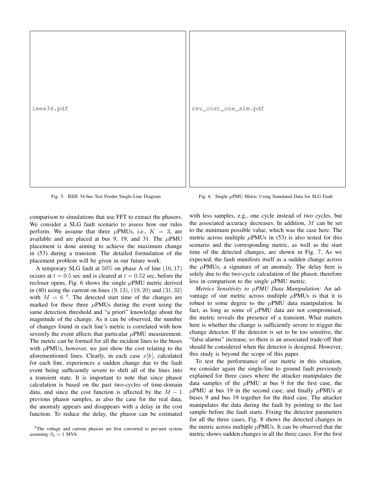ieee34.pdf

rev\_cost\_one\_sim.pdf

Fig. 5. IEEE 34-bus Test Feeder Single-Line Diagram

Fig. 6. Single  $\mu$ PMU Metric Using Simulated Data for SLG Fault

comparison to simulations that use FFT to extract the phasors. We consider a SLG fault scenario to assess how our rules perform. We assume that three  $\mu$ PMUs, i.e.,  $K = 3$ , are available and are placed at bus 9, 19, and 31. The  $\mu$ PMU placement is done aiming to achieve the maximum change in (53) during a transient. The detailed formulation of the placement problem will be given in our future work.

A temporary SLG fault at 50% on phase A of line (16, 17) occurs at  $t = 0.5$  sec and is cleared at  $t = 0.52$  sec, before the recloser opens. Fig. 6 shows the single  $\mu$ PMU metric derived in (40) using the current on lines  $(9, 13)$ ,  $(19, 20)$  and  $(31, 32)$ with  $M = 6^{-5}$ . The detected start time of the changes are marked for these three  $\mu$ PMUs during the event using the same detection threshold and "a priori" knowledge about the magnitude of the change. As it can be observed, the number of changes found in each line's metric is correlated with how severely the event affects that particular  $\mu$ PMU measurement. The metric can be formed for all the incident lines to the buses with  $\mu$ PMUs, however, we just show the cost relating to the aforementioned lines. Clearly, in each case  $x[k]$ , calculated for each line, experiences a sudden change due to the fault event being sufficiently severe to shift all of the lines into a transient state. It is important to note that since phasor calculation is based on the past two-cycles of time-domain data, and since the cost function is affected by the  $M - 1$ previous phasor samples, as also the case for the real data, the anomaly appears and disappears with a delay in the cost function. To reduce the delay, the phasor can be estimated

with less samples, e.g., one cycle instead of two cycles, but the associated accuracy decreases. In addition, M can be set to the minimum possible value, which was the case here. The metric across multiple  $\mu$ PMUs in (53) is also tested for this scenario and the corresponding metric, as well as the start time of the detected changes, are shown in Fig. 7. As we expected, the fault manifests itself as a sudden change across the  $\mu$ PMUs; a signature of an anomaly. The delay here is solely due to the two-cycle calculation of the phasor, therefore less in comparison to the single  $\mu$ PMU metric.

*Metrics Sensitivity to* µ*PMU Data Manipulation:* An advantage of our metric across multiple  $\mu$ PMUs is that it is robust to some degree to the  $\mu$ PMU data manipulation. In fact, as long as some of  $\mu$ PMU data are not compromised, the metric reveals the presence of a transient. What matters here is whether the change is sufficiently severe to trigger the change detector. If the detector is set to be too sensitive, the "false alarms" increase, so there is an associated trade-off that should be considered when the detector is designed. However, this study is beyond the scope of this paper.

To test the performance of our metric in this situation, we consider again the single-line to ground fault previously explained for three cases where the attacker manipulates the data samples of the  $\mu$ PMU at bus 9 for the first case, the  $\mu$ PMU at bus 19 in the second case, and finally  $\mu$ PMUs at buses 9 and bus 19 together for the third case. The attacker manipulates the data during the fault by pointing to the last sample before the fault starts. Fixing the detector parameters for all the three cases, Fig. 8 shows the detected changes in the metric across multiple  $\mu$ PMUs. It can be observed that the metric shows sudden changes in all the three cases. For the first

<sup>&</sup>lt;sup>5</sup>The voltage and current phasors are first converted to per-unit system assuming  $S_b = 1$  MVA.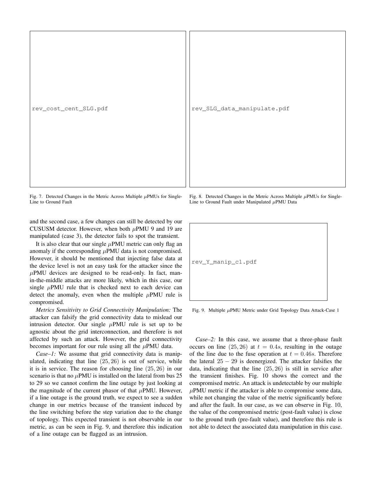rev\_cost\_cent\_SLG.pdf

rev\_SLG\_data\_manipulate.pdf

Fig. 7. Detected Changes in the Metric Across Multiple  $\mu$ PMUs for Single-Line to Ground Fault

and the second case, a few changes can still be detected by our CUSUSM detector. However, when both  $\mu$ PMU 9 and 19 are manipulated (case 3), the detector fails to spot the transient.

It is also clear that our single  $\mu$ PMU metric can only flag an anomaly if the corresponding  $\mu$ PMU data is not compromised. However, it should be mentioned that injecting false data at the device level is not an easy task for the attacker since the  $\mu$ PMU devices are designed to be read-only. In fact, manin-the-middle attacks are more likely, which in this case, our single  $\mu$ PMU rule that is checked next to each device can detect the anomaly, even when the multiple  $\mu$ PMU rule is compromised.

*Metrics Sensitivity to Grid Connectivity Manipulation:* The attacker can falsify the grid connectivity data to mislead our intrusion detector. Our single  $\mu$ PMU rule is set up to be agnostic about the grid interconnection, and therefore is not affected by such an attack. However, the grid connectivity becomes important for our rule using all the  $\mu$ PMU data.

*Case–1:* We assume that grid connectivity data is manipulated, indicating that line  $(25, 26)$  is out of service, while it is in service. The reason for choosing line (25, 26) in our scenario is that no  $\mu$ PMU is installed on the lateral from bus 25 to 29 so we cannot confirm the line outage by just looking at the magnitude of the current phasor of that  $\mu$ PMU. However, if a line outage is the ground truth, we expect to see a sudden change in our metrics because of the transient induced by the line switching before the step variation due to the change of topology. This expected transient is not observable in our metric, as can be seen in Fig. 9, and therefore this indication of a line outage can be flagged as an intrusion.

Fig. 8. Detected Changes in the Metric Across Multiple  $\mu$ PMUs for Single-Line to Ground Fault under Manipulated  $\mu$ PMU Data

Fig. 9. Multiple µPMU Metric under Grid Topology Data Attack-Case 1

*Case–2:* In this case, we assume that a three-phase fault occurs on line  $(25, 26)$  at  $t = 0.4s$ , resulting in the outage of the line due to the fuse operation at  $t = 0.46s$ . Therefore the lateral  $25 - 29$  is deenergized. The attacker falsifies the data, indicating that the line (25, 26) is still in service after the transient finishes. Fig. 10 shows the correct and the compromised metric. An attack is undetectable by our multiple  $\mu$ PMU metric if the attacker is able to compromise some data, while not changing the value of the metric significantly before and after the fault. In our case, as we can observe in Fig. 10, the value of the compromised metric (post-fault value) is close to the ground truth (pre-fault value), and therefore this rule is not able to detect the associated data manipulation in this case.